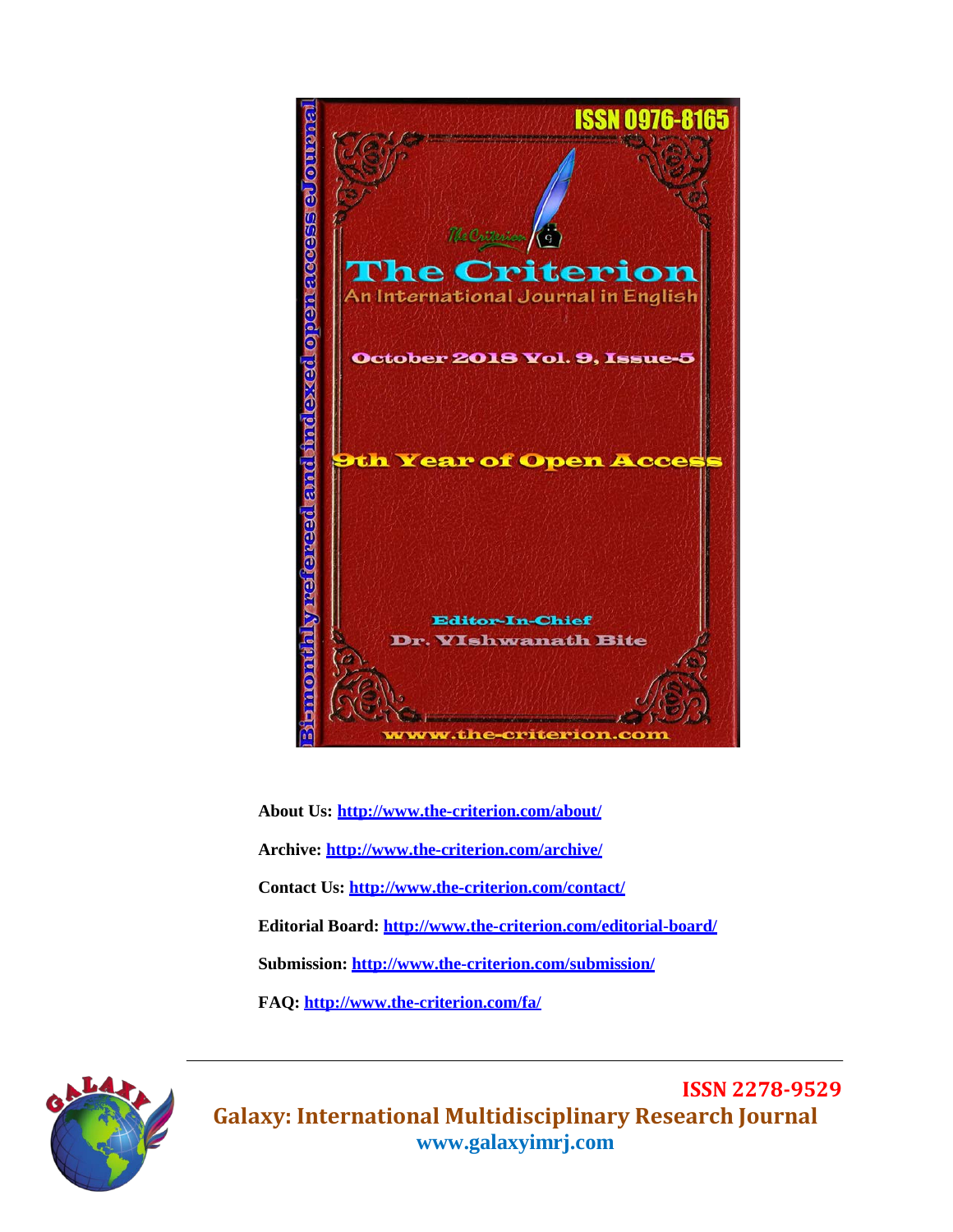

**About Us:<http://www.the-criterion.com/about/> Archive:<http://www.the-criterion.com/archive/> Contact Us:<http://www.the-criterion.com/contact/> Editorial Board:<http://www.the-criterion.com/editorial-board/> Submission:<http://www.the-criterion.com/submission/> FAQ:<http://www.the-criterion.com/fa/>**



**ISSN 2278-9529 Galaxy: International Multidisciplinary Research Journal [www.galaxyimrj.com](http://www.galaxyimrj.com/)**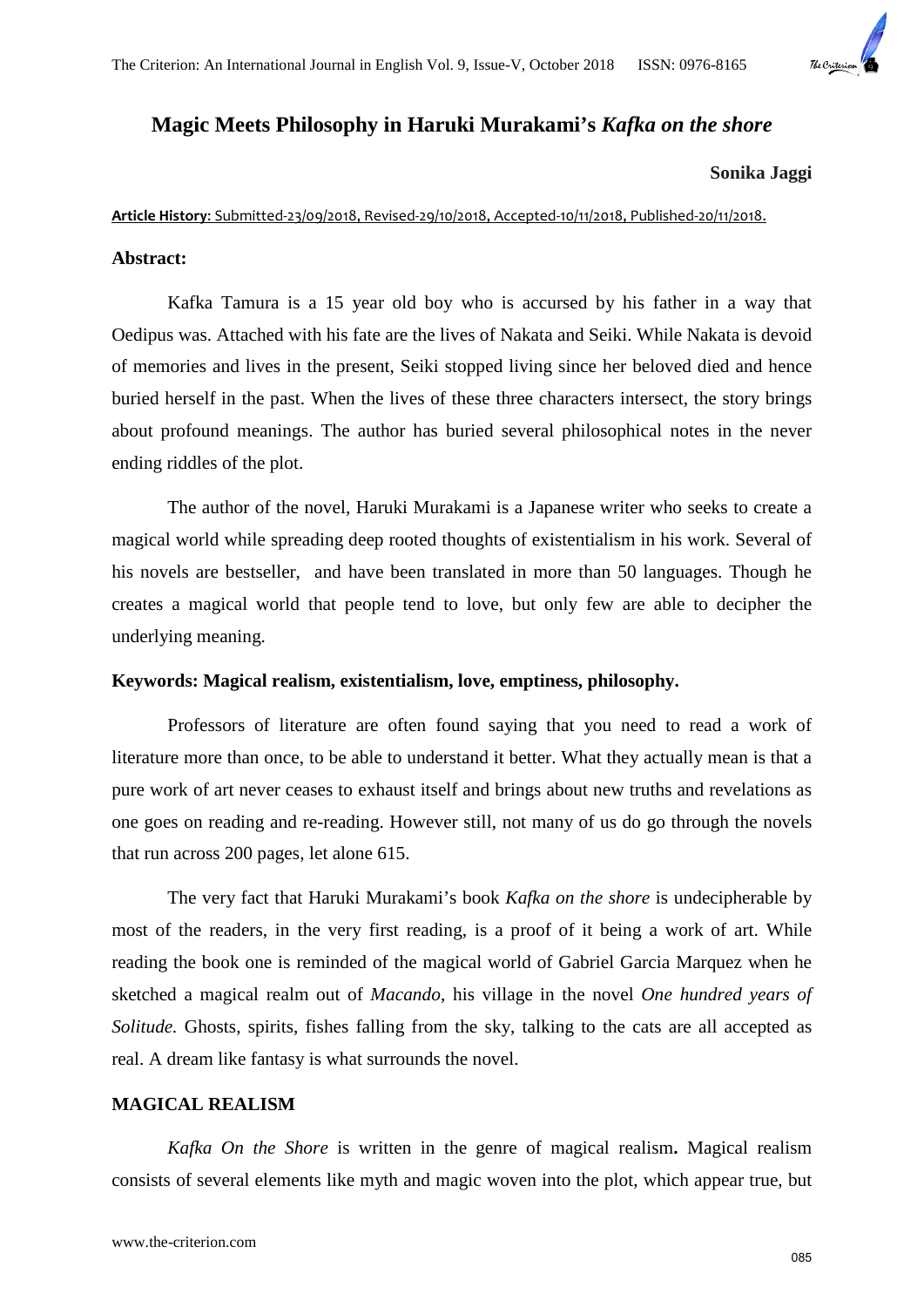

# **Magic Meets Philosophy in Haruki Murakami's** *Kafka on the shore*

#### **Sonika Jaggi**

## **Article History**: Submitted-23/09/2018, Revised-29/10/2018, Accepted-10/11/2018, Published-20/11/2018.

### **Abstract:**

Kafka Tamura is a 15 year old boy who is accursed by his father in a way that Oedipus was. Attached with his fate are the lives of Nakata and Seiki. While Nakata is devoid of memories and lives in the present, Seiki stopped living since her beloved died and hence buried herself in the past. When the lives of these three characters intersect, the story brings about profound meanings. The author has buried several philosophical notes in the never ending riddles of the plot.

The author of the novel, Haruki Murakami is a Japanese writer who seeks to create a magical world while spreading deep rooted thoughts of existentialism in his work. Several of his novels are bestseller, and have been translated in more than 50 languages. Though he creates a magical world that people tend to love, but only few are able to decipher the underlying meaning.

## **Keywords: Magical realism, existentialism, love, emptiness, philosophy.**

Professors of literature are often found saying that you need to read a work of literature more than once, to be able to understand it better. What they actually mean is that a pure work of art never ceases to exhaust itself and brings about new truths and revelations as one goes on reading and re-reading. However still, not many of us do go through the novels that run across 200 pages, let alone 615.

The very fact that Haruki Murakami's book *Kafka on the shore* is undecipherable by most of the readers, in the very first reading, is a proof of it being a work of art. While reading the book one is reminded of the magical world of Gabriel Garcia Marquez when he sketched a magical realm out of *Macando*, his village in the novel *One hundred years of Solitude.* Ghosts, spirits, fishes falling from the sky, talking to the cats are all accepted as real. A dream like fantasy is what surrounds the novel.

### **MAGICAL REALISM**

*Kafka On the Shore* is written in the genre of magical realism**.** Magical realism consists of several elements like myth and magic woven into the plot, which appear true, but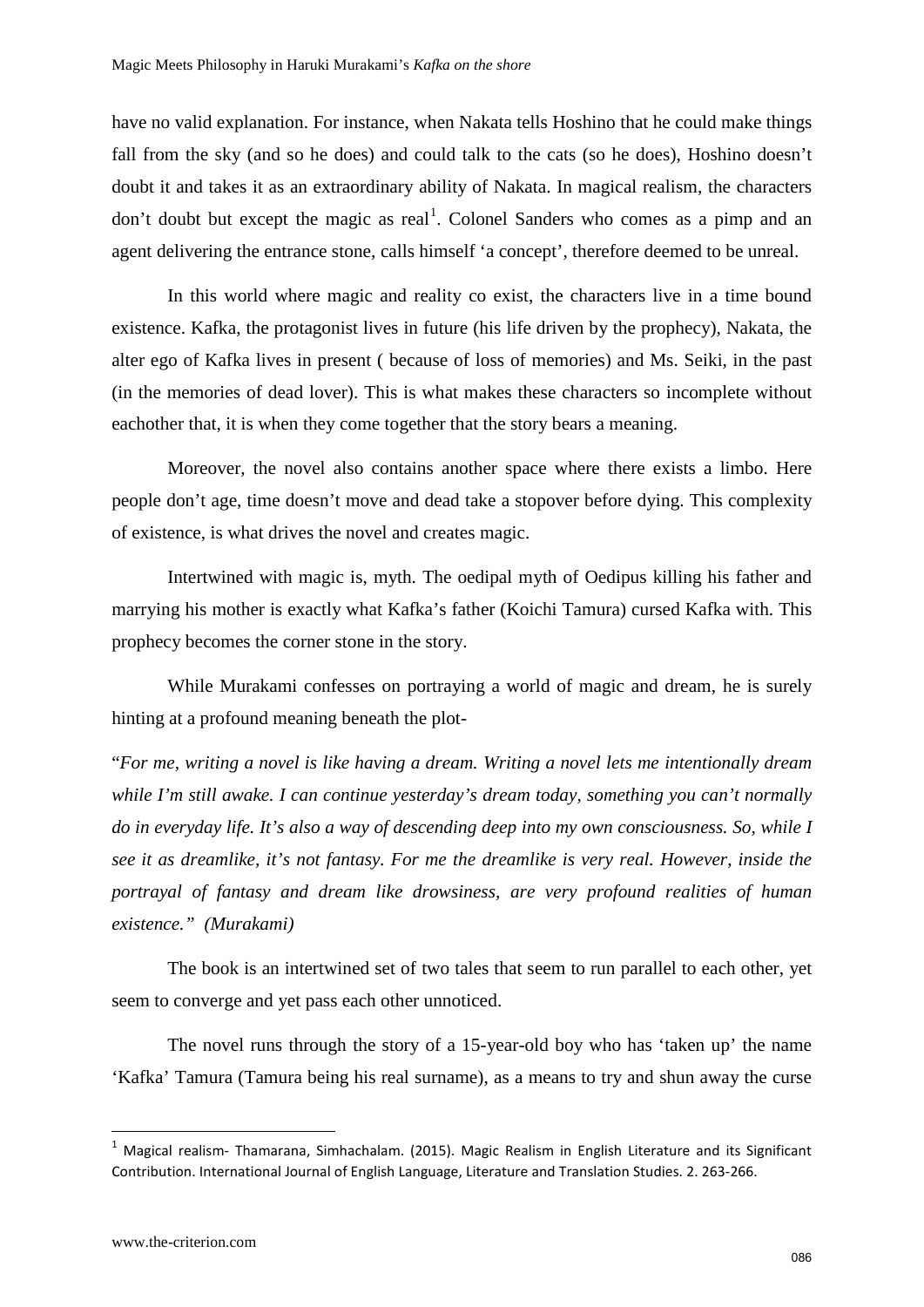have no valid explanation. For instance, when Nakata tells Hoshino that he could make things fall from the sky (and so he does) and could talk to the cats (so he does), Hoshino doesn't doubt it and takes it as an extraordinary ability of Nakata. In magical realism, the characters don't doubt but except the magic as real<sup>[1](#page-2-0)</sup>. Colonel Sanders who comes as a pimp and an agent delivering the entrance stone, calls himself 'a concept', therefore deemed to be unreal.

In this world where magic and reality co exist, the characters live in a time bound existence. Kafka, the protagonist lives in future (his life driven by the prophecy), Nakata, the alter ego of Kafka lives in present ( because of loss of memories) and Ms. Seiki, in the past (in the memories of dead lover). This is what makes these characters so incomplete without eachother that, it is when they come together that the story bears a meaning.

Moreover, the novel also contains another space where there exists a limbo. Here people don't age, time doesn't move and dead take a stopover before dying. This complexity of existence, is what drives the novel and creates magic.

Intertwined with magic is, myth. The oedipal myth of Oedipus killing his father and marrying his mother is exactly what Kafka's father (Koichi Tamura) cursed Kafka with. This prophecy becomes the corner stone in the story.

While Murakami confesses on portraying a world of magic and dream, he is surely hinting at a profound meaning beneath the plot-

"*For me, writing a novel is like having a dream. Writing a novel lets me intentionally dream while I'm still awake. I can continue yesterday's dream today, something you can't normally do in everyday life. It's also a way of descending deep into my own consciousness. So, while I see it as dreamlike, it's not fantasy. For me the dreamlike is very real. However, inside the portrayal of fantasy and dream like drowsiness, are very profound realities of human existence." (Murakami)* 

The book is an intertwined set of two tales that seem to run parallel to each other, yet seem to converge and yet pass each other unnoticed.

The novel runs through the story of a 15-year-old boy who has 'taken up' the name 'Kafka' Tamura (Tamura being his real surname), as a means to try and shun away the curse

**.** 

<span id="page-2-0"></span><sup>1</sup> Magical realism- Thamarana, Simhachalam. (2015). Magic Realism in English Literature and its Significant Contribution. International Journal of English Language, Literature and Translation Studies. 2. 263-266.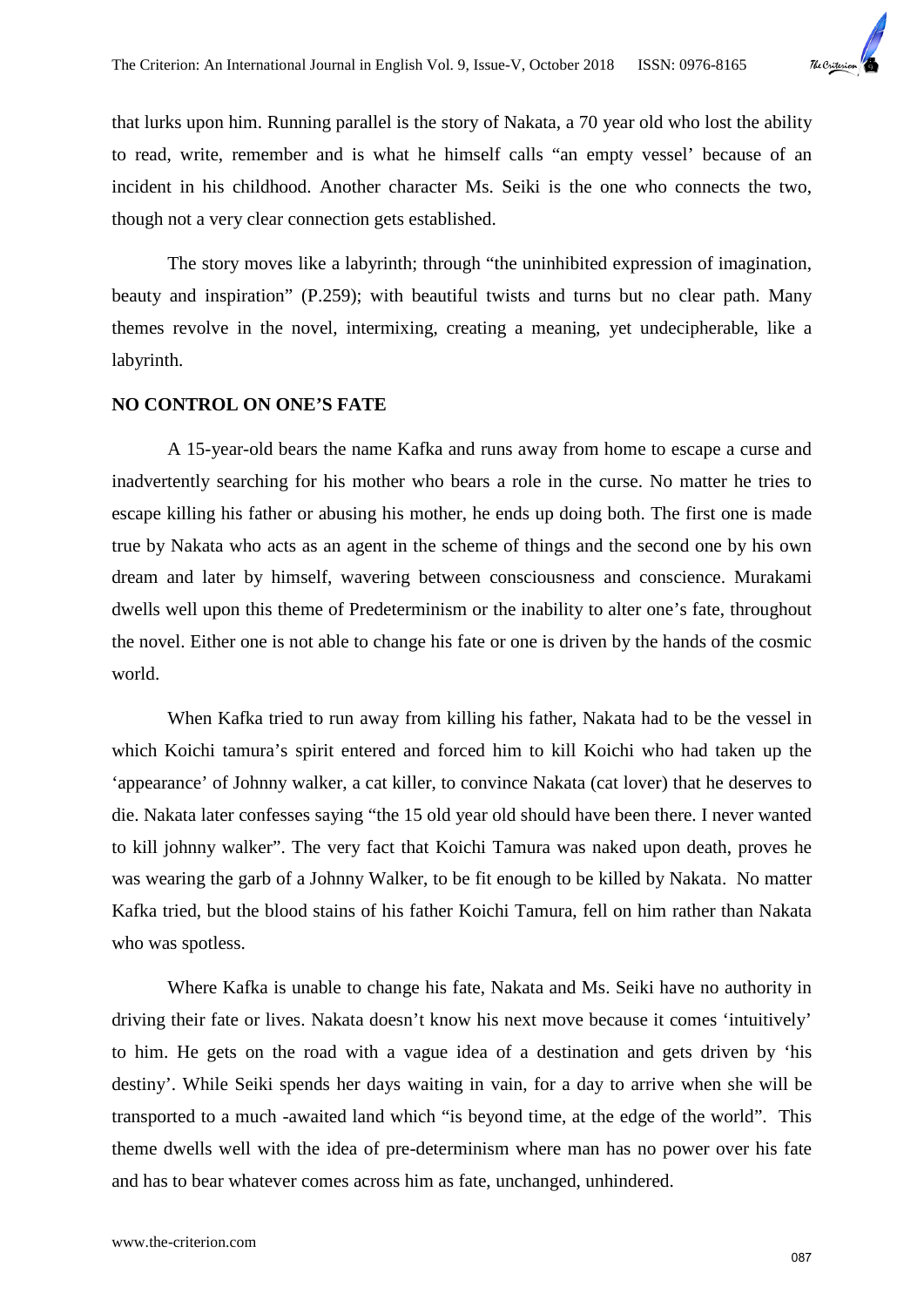

that lurks upon him. Running parallel is the story of Nakata, a 70 year old who lost the ability to read, write, remember and is what he himself calls "an empty vessel' because of an incident in his childhood. Another character Ms. Seiki is the one who connects the two, though not a very clear connection gets established.

The story moves like a labyrinth; through "the uninhibited expression of imagination, beauty and inspiration" (P.259); with beautiful twists and turns but no clear path. Many themes revolve in the novel, intermixing, creating a meaning, yet undecipherable, like a labyrinth.

## **NO CONTROL ON ONE'S FATE**

A 15-year-old bears the name Kafka and runs away from home to escape a curse and inadvertently searching for his mother who bears a role in the curse. No matter he tries to escape killing his father or abusing his mother, he ends up doing both. The first one is made true by Nakata who acts as an agent in the scheme of things and the second one by his own dream and later by himself, wavering between consciousness and conscience. Murakami dwells well upon this theme of Predeterminism or the inability to alter one's fate, throughout the novel. Either one is not able to change his fate or one is driven by the hands of the cosmic world.

When Kafka tried to run away from killing his father, Nakata had to be the vessel in which Koichi tamura's spirit entered and forced him to kill Koichi who had taken up the 'appearance' of Johnny walker, a cat killer, to convince Nakata (cat lover) that he deserves to die. Nakata later confesses saying "the 15 old year old should have been there. I never wanted to kill johnny walker". The very fact that Koichi Tamura was naked upon death, proves he was wearing the garb of a Johnny Walker, to be fit enough to be killed by Nakata. No matter Kafka tried, but the blood stains of his father Koichi Tamura, fell on him rather than Nakata who was spotless.

Where Kafka is unable to change his fate, Nakata and Ms. Seiki have no authority in driving their fate or lives. Nakata doesn't know his next move because it comes 'intuitively' to him. He gets on the road with a vague idea of a destination and gets driven by 'his destiny'. While Seiki spends her days waiting in vain, for a day to arrive when she will be transported to a much -awaited land which "is beyond time, at the edge of the world". This theme dwells well with the idea of pre-determinism where man has no power over his fate and has to bear whatever comes across him as fate, unchanged, unhindered.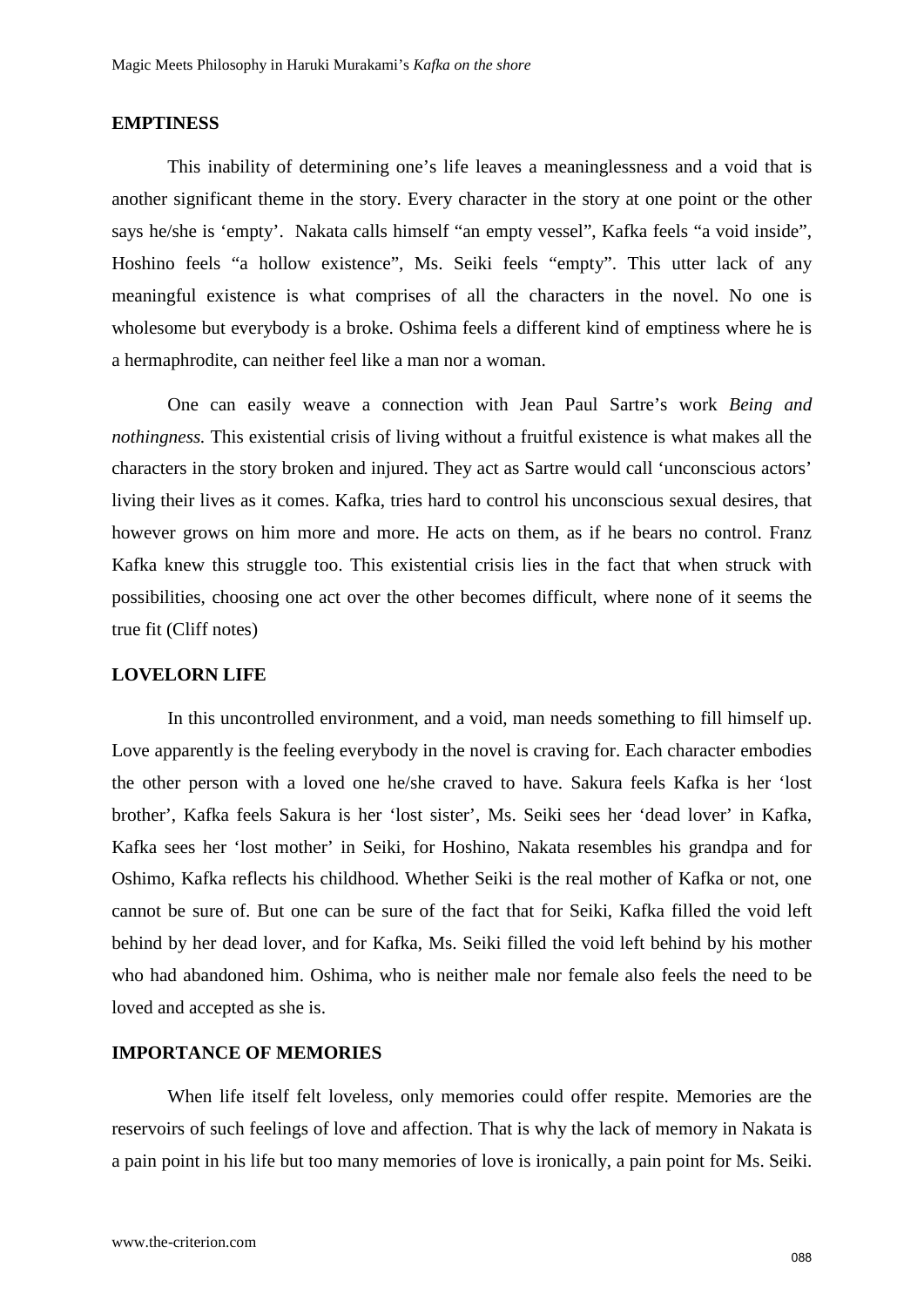### **EMPTINESS**

This inability of determining one's life leaves a meaninglessness and a void that is another significant theme in the story. Every character in the story at one point or the other says he/she is 'empty'. Nakata calls himself "an empty vessel", Kafka feels "a void inside", Hoshino feels "a hollow existence", Ms. Seiki feels "empty". This utter lack of any meaningful existence is what comprises of all the characters in the novel. No one is wholesome but everybody is a broke. Oshima feels a different kind of emptiness where he is a hermaphrodite, can neither feel like a man nor a woman.

One can easily weave a connection with Jean Paul Sartre's work *Being and nothingness.* This existential crisis of living without a fruitful existence is what makes all the characters in the story broken and injured. They act as Sartre would call 'unconscious actors' living their lives as it comes. Kafka, tries hard to control his unconscious sexual desires, that however grows on him more and more. He acts on them, as if he bears no control. Franz Kafka knew this struggle too. This existential crisis lies in the fact that when struck with possibilities, choosing one act over the other becomes difficult, where none of it seems the true fit (Cliff notes)

#### **LOVELORN LIFE**

In this uncontrolled environment, and a void, man needs something to fill himself up. Love apparently is the feeling everybody in the novel is craving for. Each character embodies the other person with a loved one he/she craved to have. Sakura feels Kafka is her 'lost brother', Kafka feels Sakura is her 'lost sister', Ms. Seiki sees her 'dead lover' in Kafka, Kafka sees her 'lost mother' in Seiki, for Hoshino, Nakata resembles his grandpa and for Oshimo, Kafka reflects his childhood. Whether Seiki is the real mother of Kafka or not, one cannot be sure of. But one can be sure of the fact that for Seiki, Kafka filled the void left behind by her dead lover, and for Kafka, Ms. Seiki filled the void left behind by his mother who had abandoned him. Oshima, who is neither male nor female also feels the need to be loved and accepted as she is.

## **IMPORTANCE OF MEMORIES**

When life itself felt loveless, only memories could offer respite. Memories are the reservoirs of such feelings of love and affection. That is why the lack of memory in Nakata is a pain point in his life but too many memories of love is ironically, a pain point for Ms. Seiki.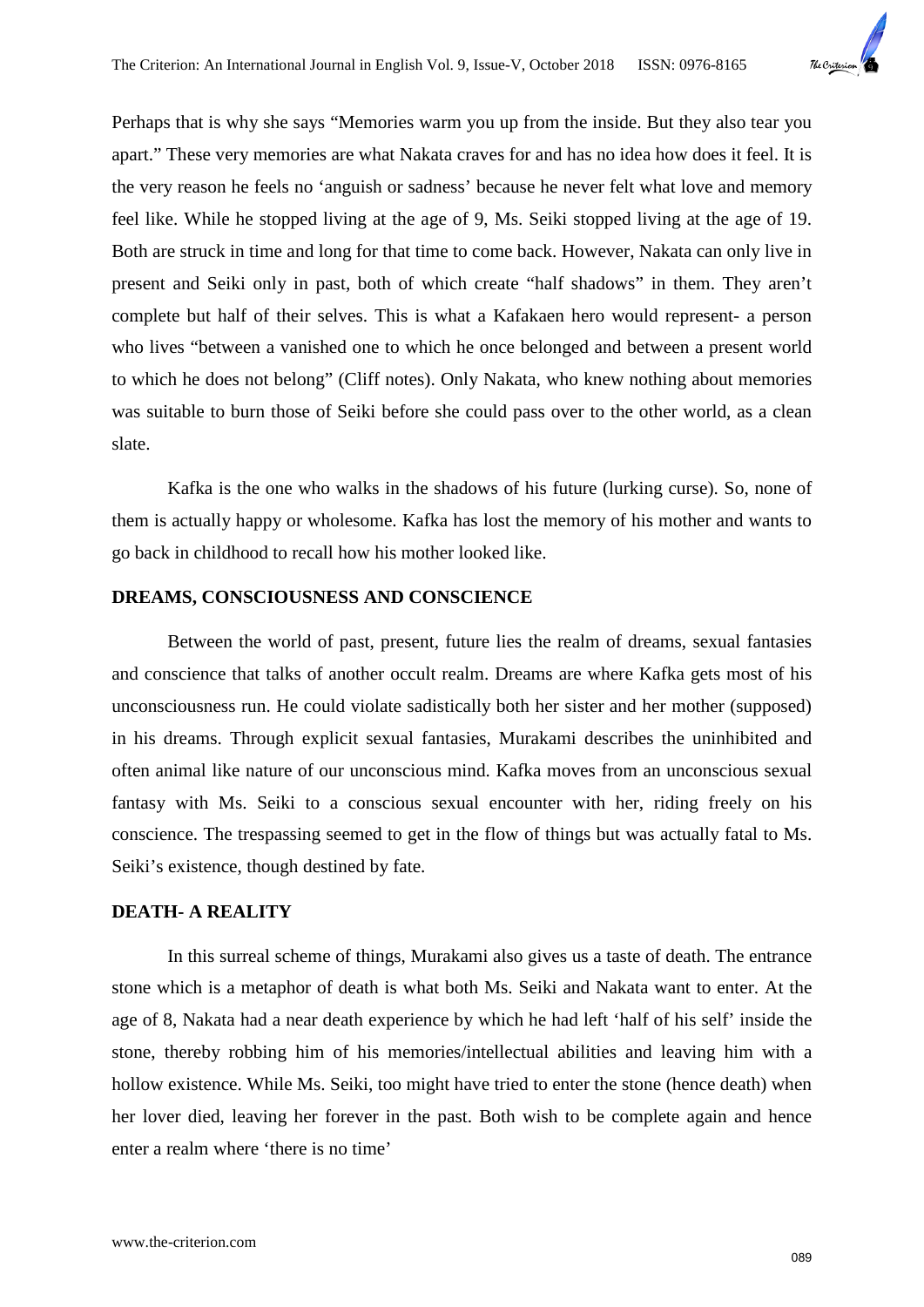

Perhaps that is why she says "Memories warm you up from the inside. But they also tear you apart." These very memories are what Nakata craves for and has no idea how does it feel. It is the very reason he feels no 'anguish or sadness' because he never felt what love and memory feel like. While he stopped living at the age of 9, Ms. Seiki stopped living at the age of 19. Both are struck in time and long for that time to come back. However, Nakata can only live in present and Seiki only in past, both of which create "half shadows" in them. They aren't complete but half of their selves. This is what a Kafakaen hero would represent- a person who lives "between a vanished one to which he once belonged and between a present world to which he does not belong" (Cliff notes). Only Nakata, who knew nothing about memories was suitable to burn those of Seiki before she could pass over to the other world, as a clean slate.

Kafka is the one who walks in the shadows of his future (lurking curse). So, none of them is actually happy or wholesome. Kafka has lost the memory of his mother and wants to go back in childhood to recall how his mother looked like.

## **DREAMS, CONSCIOUSNESS AND CONSCIENCE**

Between the world of past, present, future lies the realm of dreams, sexual fantasies and conscience that talks of another occult realm. Dreams are where Kafka gets most of his unconsciousness run. He could violate sadistically both her sister and her mother (supposed) in his dreams. Through explicit sexual fantasies, Murakami describes the uninhibited and often animal like nature of our unconscious mind. Kafka moves from an unconscious sexual fantasy with Ms. Seiki to a conscious sexual encounter with her, riding freely on his conscience. The trespassing seemed to get in the flow of things but was actually fatal to Ms. Seiki's existence, though destined by fate.

## **DEATH- A REALITY**

In this surreal scheme of things, Murakami also gives us a taste of death. The entrance stone which is a metaphor of death is what both Ms. Seiki and Nakata want to enter. At the age of 8, Nakata had a near death experience by which he had left 'half of his self' inside the stone, thereby robbing him of his memories/intellectual abilities and leaving him with a hollow existence. While Ms. Seiki, too might have tried to enter the stone (hence death) when her lover died, leaving her forever in the past. Both wish to be complete again and hence enter a realm where 'there is no time'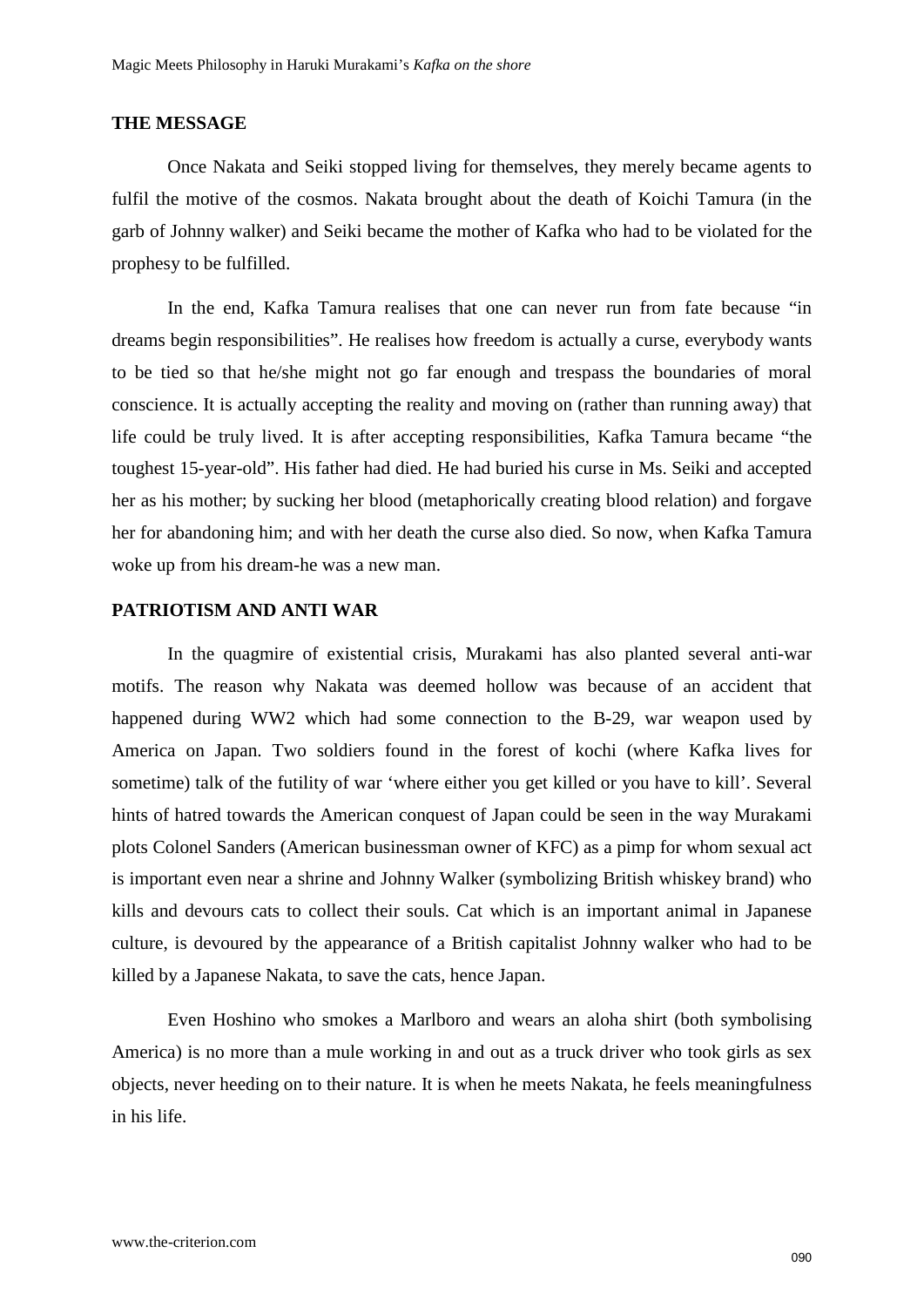### **THE MESSAGE**

Once Nakata and Seiki stopped living for themselves, they merely became agents to fulfil the motive of the cosmos. Nakata brought about the death of Koichi Tamura (in the garb of Johnny walker) and Seiki became the mother of Kafka who had to be violated for the prophesy to be fulfilled.

In the end, Kafka Tamura realises that one can never run from fate because "in dreams begin responsibilities". He realises how freedom is actually a curse, everybody wants to be tied so that he/she might not go far enough and trespass the boundaries of moral conscience. It is actually accepting the reality and moving on (rather than running away) that life could be truly lived. It is after accepting responsibilities, Kafka Tamura became "the toughest 15-year-old". His father had died. He had buried his curse in Ms. Seiki and accepted her as his mother; by sucking her blood (metaphorically creating blood relation) and forgave her for abandoning him; and with her death the curse also died. So now, when Kafka Tamura woke up from his dream-he was a new man.

## **PATRIOTISM AND ANTI WAR**

In the quagmire of existential crisis, Murakami has also planted several anti-war motifs. The reason why Nakata was deemed hollow was because of an accident that happened during WW2 which had some connection to the B-29, war weapon used by America on Japan. Two soldiers found in the forest of kochi (where Kafka lives for sometime) talk of the futility of war 'where either you get killed or you have to kill'. Several hints of hatred towards the American conquest of Japan could be seen in the way Murakami plots Colonel Sanders (American businessman owner of KFC) as a pimp for whom sexual act is important even near a shrine and Johnny Walker (symbolizing British whiskey brand) who kills and devours cats to collect their souls. Cat which is an important animal in Japanese culture, is devoured by the appearance of a British capitalist Johnny walker who had to be killed by a Japanese Nakata, to save the cats, hence Japan.

Even Hoshino who smokes a Marlboro and wears an aloha shirt (both symbolising America) is no more than a mule working in and out as a truck driver who took girls as sex objects, never heeding on to their nature. It is when he meets Nakata, he feels meaningfulness in his life.